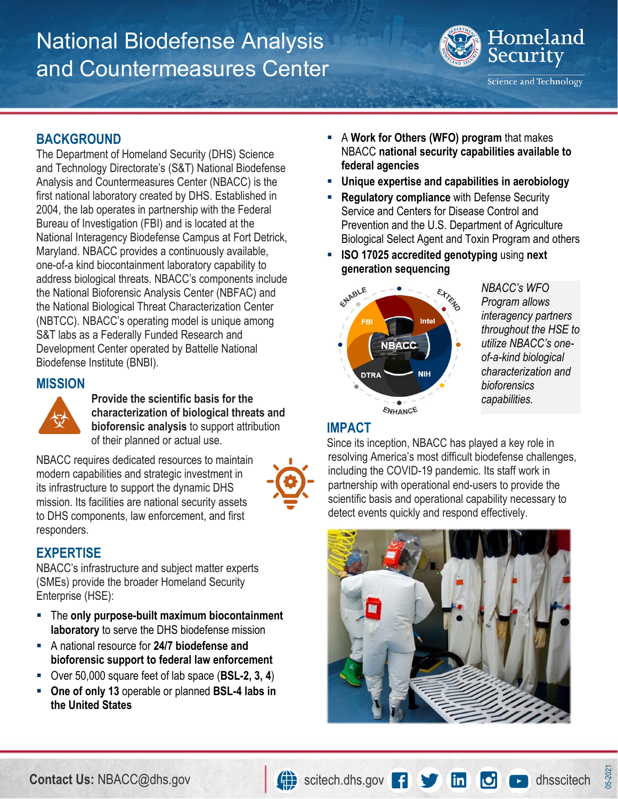# National Biodefense Analysis and Countermeasures Center



Science and Technology

## **BACKGROUND**

The Department of Homeland Security (DHS) Science and Technology Directorate's (S&T) National Biodefense Analysis and Countermeasures Center (NBACC) is the first national laboratory created by DHS. Established in 2004, the lab operates in partnership with the Federal Bureau of Investigation (FBI) and is located at the National Interagency Biodefense Campus at Fort Detrick, Maryland. NBACC provides a continuously available, one-of-a kind biocontainment laboratory capability to address biological threats. NBACC's components include the National Bioforensic Analysis Center (NBFAC) and the National Biological Threat Characterization Center (NBTCC). NBACC's operating model is unique among S&T labs as a Federally Funded Research and Development Center operated by Battelle National Biodefense Institute (BNBI).

#### **MISSION**



**Provide the scientific basis for the characterization of biological threats and bioforensic analysis** to support attribution of their planned or actual use.

NBACC requires dedicated resources to maintain modern capabilities and strategic investment in its infrastructure to support the dynamic DHS mission. Its facilities are national security assets to DHS components, law enforcement, and first responders.



## **EXPERTISE**

NBACC's infrastructure and subject matter experts (SMEs) provide the broader Homeland Security Enterprise (HSE):

- The **only purpose-built maximum biocontainment laboratory** to serve the DHS biodefense mission
- A national resource for **24/7 biodefense and bioforensic support to federal law enforcement**
- Over 50,000 square feet of lab space (**BSL-2, 3, 4**)
- **One of only 13** operable or planned **BSL-4 labs in the United States**
- A **Work for Others (WFO) program** that makes NBACC **national security capabilities available to federal agencies**
- **Unique expertise and capabilities in aerobiology**
- **Regulatory compliance** with Defense Security Service and Centers for Disease Control and Prevention and the U.S. Department of Agriculture Biological Select Agent and Toxin Program and others
- **ISO 17025 accredited genotyping** using **next generation sequencing**



*NBACC's WFO Program allows interagency partners throughout the HSE to utilize NBACC's oneof-a-kind biological characterization and bioforensics capabilities.*

#### **IMPACT**

Since its inception, NBACC has played a key role in resolving America's most difficult biodefense challenges, including the COVID-19 pandemic. Its staff work in partnership with operational end-users to provide the scientific basis and operational capability necessary to detect events quickly and respond effectively.